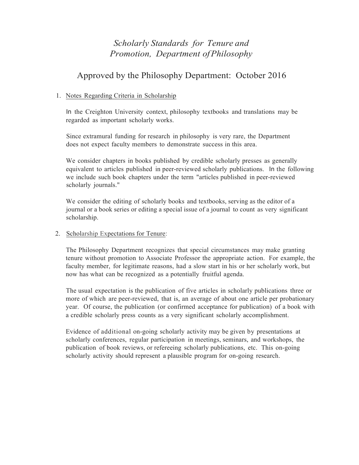# *Scholarly Standards for Tenure and Promotion, Department ofPhilosophy*

## Approved by the Philosophy Department: October 2016

### 1. Notes Regarding Criteria in Scholarship

In the Creighton University context, philosophy textbooks and translations may be regarded as important scholarly works.

Since extramural funding for research in philosophy is very rare, the Department does not expect faculty members to demonstrate success in this area.

We consider chapters in books published by credible scholarly presses as generally equivalent to articles published in peer-reviewed scholarly publications. In the following we include such book chapters under the term "articles published in peer-reviewed scholarly journals."

We consider the editing of scholarly books and textbooks, serving as the editor of a journal or a book series or editing a special issue of a journal to count as very significant scholarship.

### 2. Scholarship Expectations for Tenure:

The Philosophy Department recognizes that special circumstances may make granting tenure without promotion to Associate Professor the appropriate action. For example, the faculty member, for legitimate reasons, had a slow start in his or her scholarly work, but now has what can be recognized as a potentially fruitful agenda.

The usual expectation is the publication of five articles in scholarly publications three or more of which are peer-reviewed, that is, an average of about one article per probationary year. Of course, the publication (or confirmed acceptance for publication) of a book with a credible scholarly press counts as a very significant scholarly accomplishment.

Evidence of additional on-going scholarly activity may be given by presentations at scholarly conferences, regular participation in meetings, seminars, and workshops, the publication of book reviews, or refereeing scholarly publications, etc. This on-going scholarly activity should represent a plausible program for on-going research.